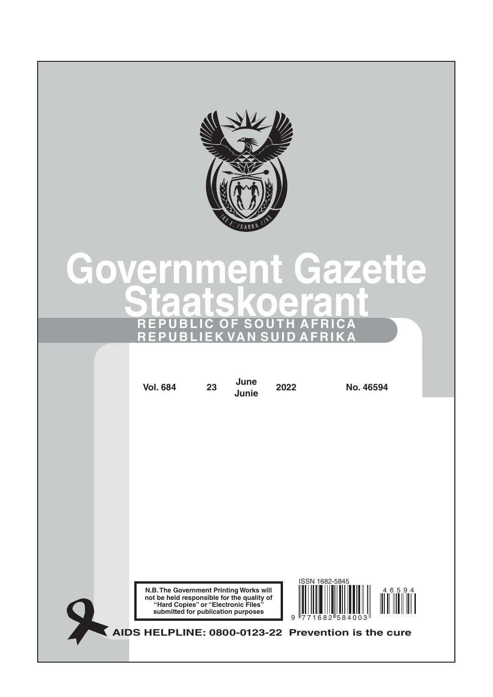

# **Government Gazette Staatskoerant REPUBLIC OF SOUTH AFRICA REPUBLIEK VAN SUID AFRIKA**

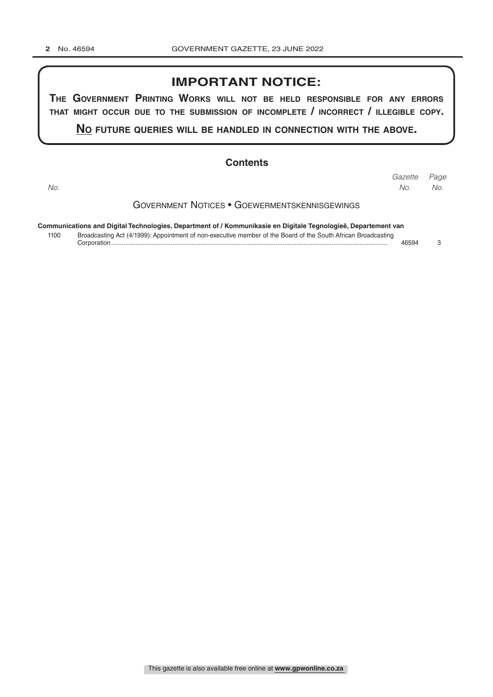## **IMPORTANT NOTICE:**

**The GovernmenT PrinTinG Works Will noT be held resPonsible for any errors ThaT miGhT occur due To The submission of incomPleTe / incorrecT / illeGible coPy.**

**no fuTure queries Will be handled in connecTion WiTh The above.**

## **Contents**

Government Notices • Goewermentskennisgewings **Communications and Digital Technologies, Department of / Kommunikasie en Digitale Tegnologieë, Departement van** *Page Gazette No. No. No.*

1100 Broadcasting Act (4/1999): Appointment of non-executive member of the Board of the South African Broadcasting Corporation.............................................................................................................................................................. 46594 3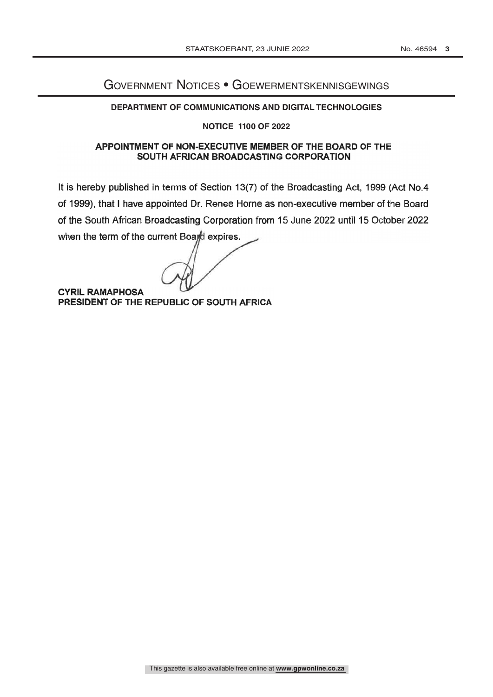## Government Notices • Goewermentskennisgewings

### **DEPARTMENT OF COMMUNICATIONS AND DIGITAL TECHNOLOGIES**

#### **NOTICE 1100 OF 2022**

## APPOINTMENT OF NON-EXECUTIVE MEMBER OF THE BOARD OF THE SOUTH AFRICAN BROADCASTING CORPORATION

It is hereby published in terms of Section 13(7) of the Broadcasting Act, 1999 (Act No.4 of 1999), that I have appointed Dr. Renee Horne as non-executive member of the Board of the South African Broadcasting Corporation from 15 June 2022 until 15 October 2022 when the term of the current Board expires.

**CYRIL RAMAPHOSA** PRESIDENT OF THE REPUBLIC OF SOUTH AFRICA